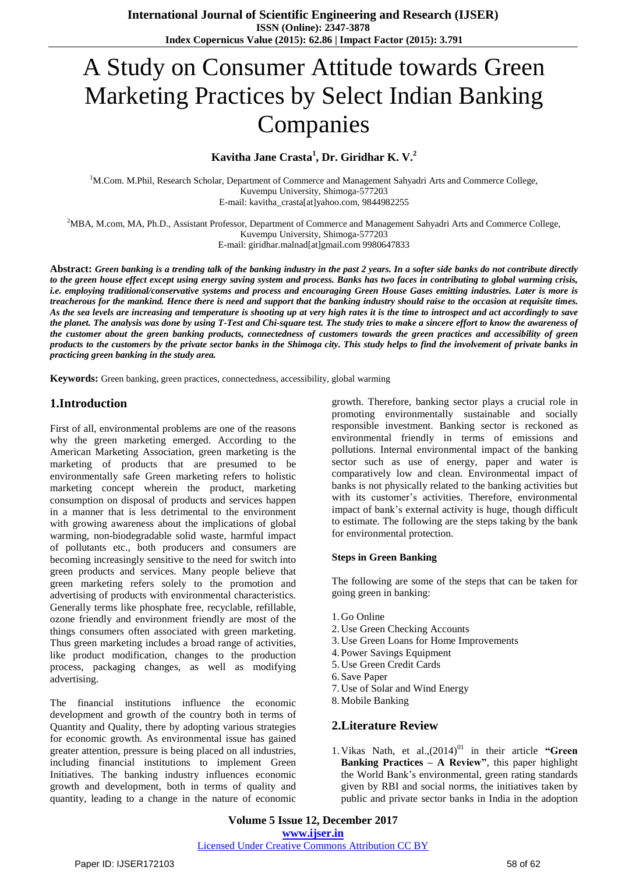# A Study on Consumer Attitude towards Green Marketing Practices by Select Indian Banking Companies

# **Kavitha Jane Crasta<sup>1</sup> , Dr. Giridhar K. V.<sup>2</sup>**

<sup>1</sup>M.Com. M.Phil, Research Scholar, Department of Commerce and Management Sahyadri Arts and Commerce College, Kuvempu University, Shimoga-577203 E-mail: kavitha\_crasta[at]yahoo.com, 9844982255

<sup>2</sup>MBA, M.com, MA, Ph.D., Assistant Professor, Department of Commerce and Management Sahyadri Arts and Commerce College, Kuvempu University, Shimoga-577203

E-mail: giridhar.malnad[at]gmail.com 9980647833

Abstract: Green banking is a trending talk of the banking industry in the past 2 years. In a softer side banks do not contribute directly to the green house effect except using energy saving system and process. Banks has two faces in contributing to global warming crisis, i.e. employing traditional/conservative systems and process and encouraging Green House Gases emitting industries. Later is more is treacherous for the mankind. Hence there is need and support that the banking industry should raise to the occasion at requisite times. As the sea levels are increasing and temperature is shooting up at very high rates it is the time to introspect and act accordingly to save the planet. The analysis was done by using T-Test and Chi-square test. The study tries to make a sincere effort to know the awareness of the customer about the green banking products, connectedness of customers towards the green practices and accessibility of green products to the customers by the private sector banks in the Shimoga city. This study helps to find the involvement of private banks in *practicing green banking in the study area.*

**Keywords:** Green banking, green practices, connectedness, accessibility, global warming

## **1.Introduction**

First of all, environmental problems are one of the reasons why the green marketing emerged. According to the American Marketing Association, green marketing is the marketing of products that are presumed to be environmentally safe Green marketing refers to holistic marketing concept wherein the product, marketing consumption on disposal of products and services happen in a manner that is less detrimental to the environment with growing awareness about the implications of global warming, non-biodegradable solid waste, harmful impact of pollutants etc., both producers and consumers are becoming increasingly sensitive to the need for switch into green products and services. Many people believe that green marketing refers solely to the promotion and advertising of products with environmental characteristics. Generally terms like phosphate free, recyclable, refillable, ozone friendly and environment friendly are most of the things consumers often associated with green marketing. Thus green marketing includes a broad range of activities, like product modification, changes to the production process, packaging changes, as well as modifying advertising.

The financial institutions influence the economic development and growth of the country both in terms of Quantity and Quality, there by adopting various strategies for economic growth. As environmental issue has gained greater attention, pressure is being placed on all industries, including financial institutions to implement Green Initiatives. The banking industry influences economic growth and development, both in terms of quality and quantity, leading to a change in the nature of economic

growth. Therefore, banking sector plays a crucial role in promoting environmentally sustainable and socially responsible investment. Banking sector is reckoned as environmental friendly in terms of emissions and pollutions. Internal environmental impact of the banking sector such as use of energy, paper and water is comparatively low and clean. Environmental impact of banks is not physically related to the banking activities but with its customer's activities. Therefore, environmental impact of bank"s external activity is huge, though difficult to estimate. The following are the steps taking by the bank for environmental protection.

#### **Steps in Green Banking**

The following are some of the steps that can be taken for going green in banking:

- 1. Go Online
- 2. Use Green Checking Accounts
- 3. Use Green Loans for Home Improvements
- 4. Power Savings Equipment
- 5. Use Green Credit Cards
- 6. Save Paper
- 7. Use of Solar and Wind Energy
- 8.Mobile Banking

## **2.Literature Review**

1. Vikas Nath, et al.,(2014)<sup>01</sup> in their article "Green **Banking Practices – A Review"**, this paper highlight the World Bank"s environmental, green rating standards given by RBI and social norms, the initiatives taken by public and private sector banks in India in the adoption

**Volume 5 Issue 12, December 2017 <www.ijser.in>** [Licensed Under Creative Commons Attribution CC BY](http://creativecommons.org/licenses/by/4.0/)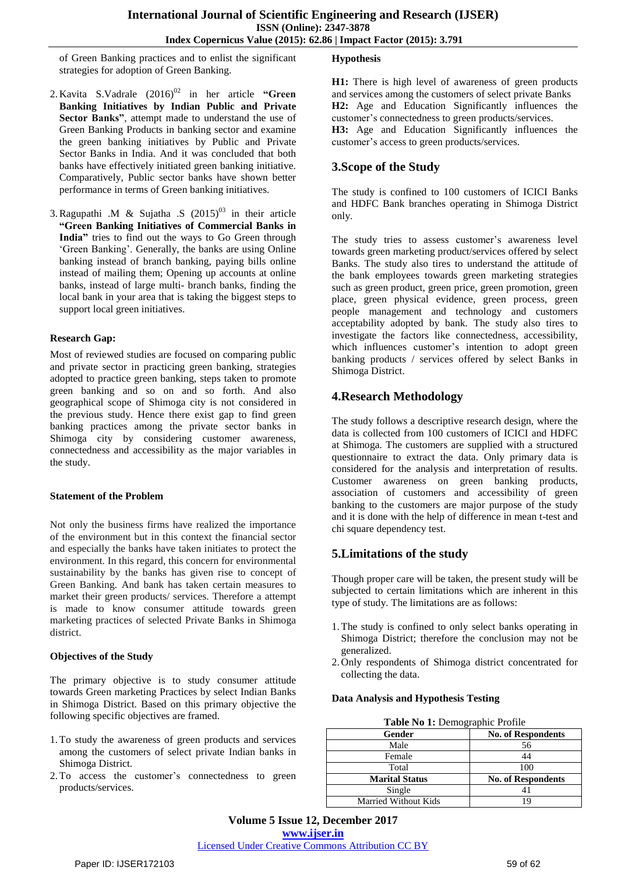of Green Banking practices and to enlist the significant strategies for adoption of Green Banking.

- 2. Kavita S. Vadrale  $(2016)^{02}$  in her article "Green **Banking Initiatives by Indian Public and Private Sector Banks"**, attempt made to understand the use of Green Banking Products in banking sector and examine the green banking initiatives by Public and Private Sector Banks in India. And it was concluded that both banks have effectively initiated green banking initiative. Comparatively, Public sector banks have shown better performance in terms of Green banking initiatives.
- 3. Ragupathi .M & Sujatha .S  $(2015)^{03}$  in their article **"Green Banking Initiatives of Commercial Banks in India"** tries to find out the ways to Go Green through 'Green Banking'. Generally, the banks are using Online banking instead of branch banking, paying bills online instead of mailing them; Opening up accounts at online banks, instead of large multi- branch banks, finding the local bank in your area that is taking the biggest steps to support local green initiatives.

#### **Research Gap:**

Most of reviewed studies are focused on comparing public and private sector in practicing green banking, strategies adopted to practice green banking, steps taken to promote green banking and so on and so forth. And also geographical scope of Shimoga city is not considered in the previous study. Hence there exist gap to find green banking practices among the private sector banks in Shimoga city by considering customer awareness, connectedness and accessibility as the major variables in the study.

#### **Statement of the Problem**

Not only the business firms have realized the importance of the environment but in this context the financial sector and especially the banks have taken initiates to protect the environment. In this regard, this concern for environmental sustainability by the banks has given rise to concept of Green Banking. And bank has taken certain measures to market their green products/ services. Therefore a attempt is made to know consumer attitude towards green marketing practices of selected Private Banks in Shimoga district.

## **Objectives of the Study**

The primary objective is to study consumer attitude towards Green marketing Practices by select Indian Banks in Shimoga District. Based on this primary objective the following specific objectives are framed.

- 1.To study the awareness of green products and services among the customers of select private Indian banks in Shimoga District.
- 2.To access the customer"s connectedness to green products/services.

## **Hypothesis**

**H1:** There is high level of awareness of green products and services among the customers of select private Banks **H2:** Age and Education Significantly influences the customer"s connectedness to green products/services.

**H3:** Age and Education Significantly influences the customer"s access to green products/services.

# **3.Scope of the Study**

The study is confined to 100 customers of ICICI Banks and HDFC Bank branches operating in Shimoga District only.

The study tries to assess customer's awareness level towards green marketing product/services offered by select Banks. The study also tires to understand the attitude of the bank employees towards green marketing strategies such as green product, green price, green promotion, green place, green physical evidence, green process, green people management and technology and customers acceptability adopted by bank. The study also tires to investigate the factors like connectedness, accessibility, which influences customer's intention to adopt green banking products / services offered by select Banks in Shimoga District.

## **4.Research Methodology**

The study follows a descriptive research design, where the data is collected from 100 customers of ICICI and HDFC at Shimoga. The customers are supplied with a structured questionnaire to extract the data. Only primary data is considered for the analysis and interpretation of results. Customer awareness on green banking products, association of customers and accessibility of green banking to the customers are major purpose of the study and it is done with the help of difference in mean t-test and chi square dependency test.

# **5.Limitations of the study**

Though proper care will be taken, the present study will be subjected to certain limitations which are inherent in this type of study. The limitations are as follows:

- 1.The study is confined to only select banks operating in Shimoga District; therefore the conclusion may not be generalized.
- 2. Only respondents of Shimoga district concentrated for collecting the data.

#### **Data Analysis and Hypothesis Testing**

| Table No 1: Demographic Profile |                           |  |  |
|---------------------------------|---------------------------|--|--|
| Gender                          | <b>No. of Respondents</b> |  |  |
| Male                            | 56                        |  |  |
| Female                          | 44                        |  |  |
| Total                           | 100                       |  |  |
| <b>Marital Status</b>           | <b>No. of Respondents</b> |  |  |
| Single                          | 41                        |  |  |
| <b>Married Without Kids</b>     | 10,                       |  |  |

**Volume 5 Issue 12, December 2017 <www.ijser.in>** [Licensed Under Creative Commons Attribution CC BY](http://creativecommons.org/licenses/by/4.0/)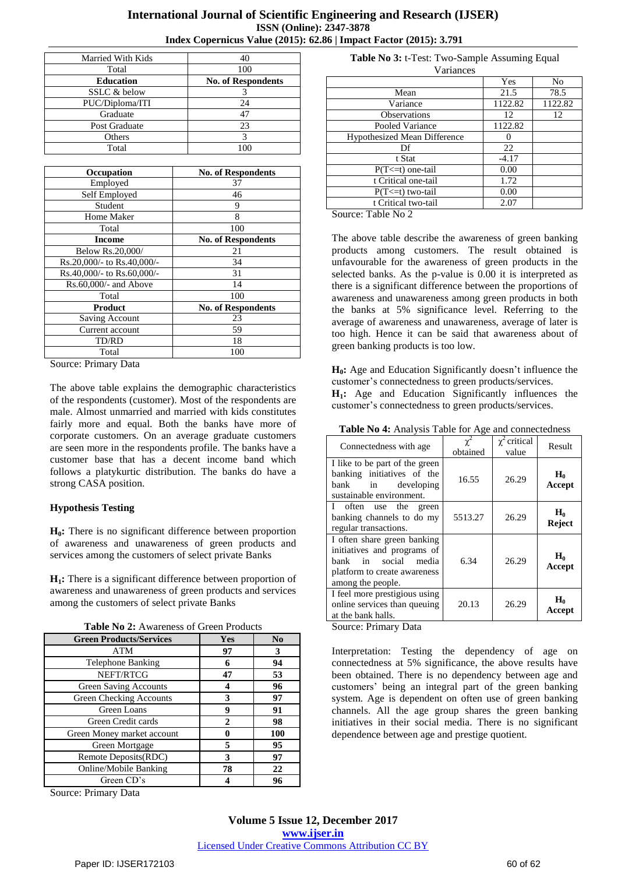## **International Journal of Scientific Engineering and Research (IJSER) ISSN (Online): 2347-3878 Index Copernicus Value (2015): 62.86 | Impact Factor (2015): 3.791**

| Married With Kids | 40                        |
|-------------------|---------------------------|
| Total             | 100                       |
| <b>Education</b>  | <b>No. of Respondents</b> |
| SSLC & below      |                           |
| PUC/Diploma/ITI   | 24                        |
| Graduate          | 47                        |
| Post Graduate     | 23                        |
| Others            |                           |
| Total             |                           |

| Occupation                 | <b>No. of Respondents</b> |
|----------------------------|---------------------------|
| Employed                   | 37                        |
| Self Employed              | 46                        |
| Student                    | 9                         |
| Home Maker                 | 8                         |
| Total                      | 100                       |
| <b>Income</b>              | <b>No. of Respondents</b> |
| Below Rs.20,000/           | 21                        |
| Rs.20,000/- to Rs.40,000/- | 34                        |
| Rs.40,000/- to Rs.60,000/- | 31                        |
| Rs.60,000/- and Above      | 14                        |
| Total                      | 100                       |
| <b>Product</b>             | <b>No. of Respondents</b> |
| <b>Saving Account</b>      | 23                        |
| Current account            | 59                        |
| TD/RD                      | 18                        |
| Total                      | 100                       |

Source: Primary Data

The above table explains the demographic characteristics of the respondents (customer). Most of the respondents are male. Almost unmarried and married with kids constitutes fairly more and equal. Both the banks have more of corporate customers. On an average graduate customers are seen more in the respondents profile. The banks have a customer base that has a decent income band which follows a platykurtic distribution. The banks do have a strong CASA position.

#### **Hypothesis Testing**

**H0:** There is no significant difference between proportion of awareness and unawareness of green products and services among the customers of select private Banks

**H1:** There is a significant difference between proportion of awareness and unawareness of green products and services among the customers of select private Banks

| <b>Green Products/Services</b> | <b>Yes</b> | No  |
|--------------------------------|------------|-----|
| <b>ATM</b>                     | 97         | 3   |
| <b>Telephone Banking</b>       | 6          | 94  |
| NEFT/RTCG                      | 47         | 53  |
| <b>Green Saving Accounts</b>   |            | 96  |
| Green Checking Accounts        | 3          | 97  |
| Green Loans                    | 9          | 91  |
| Green Credit cards             | 2          | 98  |
| Green Money market account     | A          | 100 |
| Green Mortgage                 | 5          | 95  |
| Remote Deposits(RDC)           | 3          | 97  |
| Online/Mobile Banking          | 78         | 22  |
| Green CD's                     |            | 96  |

Source: Primary Data

**Table No 3:** t-Test: Two-Sample Assuming Equal Variances

|                                                                       | Yes     | No      |
|-----------------------------------------------------------------------|---------|---------|
| Mean                                                                  | 21.5    | 78.5    |
| Variance                                                              | 1122.82 | 1122.82 |
| <b>Observations</b>                                                   | 12      | 12      |
| Pooled Variance                                                       | 1122.82 |         |
| <b>Hypothesized Mean Difference</b>                                   |         |         |
| Df                                                                    | 22      |         |
| t Stat                                                                | $-4.17$ |         |
| $P(T \le t)$ one-tail                                                 | 0.00    |         |
| t Critical one-tail                                                   | 1.72    |         |
| $P(T \le t)$ two-tail                                                 | 0.00    |         |
| t Critical two-tail                                                   | 2.07    |         |
| $\sim$<br>$T$ . 1. 1. $N$ . $\Omega$<br>the company of the company of |         |         |

Source: Table No 2

The above table describe the awareness of green banking products among customers. The result obtained is unfavourable for the awareness of green products in the selected banks. As the p-value is 0.00 it is interpreted as there is a significant difference between the proportions of awareness and unawareness among green products in both the banks at 5% significance level. Referring to the average of awareness and unawareness, average of later is too high. Hence it can be said that awareness about of green banking products is too low.

**H<sub>0</sub>**: Age and Education Significantly doesn't influence the customer"s connectedness to green products/services. **H1:** Age and Education Significantly influences the customer"s connectedness to green products/services.

**Table No 4:** Analysis Table for Age and connectedness

| Connectedness with age                                                                                                                  | obtained | $\chi^2$ critical<br>value | Result                 |
|-----------------------------------------------------------------------------------------------------------------------------------------|----------|----------------------------|------------------------|
| I like to be part of the green<br>banking initiatives of the<br>bank<br>developing<br>in<br>sustainable environment.                    | 16.55    | 26.29                      | $H_0$<br>Accept        |
| I often use the green<br>banking channels to do my<br>regular transactions.                                                             | 5513.27  | 26.29                      | $H_0$<br><b>Reject</b> |
| I often share green banking<br>initiatives and programs of<br>bank in social media<br>platform to create awareness<br>among the people. | 6.34     | 26.29                      | $H_0$<br>Accept        |
| I feel more prestigious using<br>online services than queuing<br>at the bank halls.                                                     | 20.13    | 26.29                      | $H_0$<br>Accept        |

Source: Primary Data

Interpretation: Testing the dependency of age on connectedness at 5% significance, the above results have been obtained. There is no dependency between age and customers" being an integral part of the green banking system. Age is dependent on often use of green banking channels. All the age group shares the green banking initiatives in their social media. There is no significant dependence between age and prestige quotient.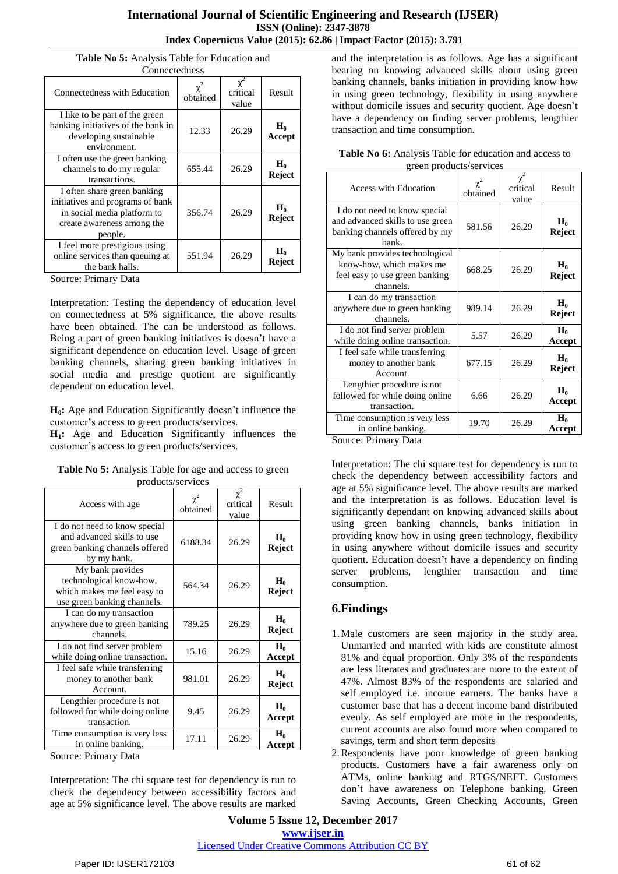|  |                  |  | Table No 5: Analysis Table for Education and |  |
|--|------------------|--|----------------------------------------------|--|
|  | $C$ onnaatadnaaa |  |                                              |  |

| CONNECTEGNESS                                                                                                                           |                      |                   |                        |  |
|-----------------------------------------------------------------------------------------------------------------------------------------|----------------------|-------------------|------------------------|--|
| Connectedness with Education                                                                                                            | $\chi^2$<br>obtained | critical<br>value | Result                 |  |
| I like to be part of the green<br>banking initiatives of the bank in<br>developing sustainable<br>environment.                          | 12.33                | 26.29             | $H_0$<br>Accept        |  |
| I often use the green banking<br>channels to do my regular<br>transactions.                                                             | 655.44               | 26.29             | $H_0$<br>Reject        |  |
| I often share green banking<br>initiatives and programs of bank<br>in social media platform to<br>create awareness among the<br>people. | 356.74               | 26.29             | $H_0$<br><b>Reject</b> |  |
| I feel more prestigious using<br>online services than queuing at<br>the bank halls.                                                     | 551.94               | 26.29             | $H_0$<br>Reject        |  |

Source: Primary Data

Interpretation: Testing the dependency of education level on connectedness at 5% significance, the above results have been obtained. The can be understood as follows. Being a part of green banking initiatives is doesn"t have a significant dependence on education level. Usage of green banking channels, sharing green banking initiatives in social media and prestige quotient are significantly dependent on education level.

**H0:** Age and Education Significantly doesn"t influence the customer"s access to green products/services.

**H1:** Age and Education Significantly influences the customer's access to green products/services.

| Access with age                 | $\chi^2$<br>obtained | $\chi^2$<br>critical<br>value | Result        |
|---------------------------------|----------------------|-------------------------------|---------------|
| I do not need to know special   |                      |                               |               |
| and advanced skills to use      | 6188.34              | 26.29                         | $H_0$         |
| green banking channels offered  |                      |                               | Reject        |
| by my bank.                     |                      |                               |               |
| My bank provides                |                      |                               |               |
| technological know-how,         | 564.34               | 26.29                         | $H_0$         |
| which makes me feel easy to     |                      |                               | Reject        |
| use green banking channels.     |                      |                               |               |
| I can do my transaction         |                      |                               |               |
| anywhere due to green banking   | 789.25               | 26.29                         | $H_0$         |
| channels.                       |                      |                               | Reject        |
| I do not find server problem    |                      |                               | $H_0$         |
| while doing online transaction. | 15.16                | 26.29                         | Accept        |
| I feel safe while transferring  |                      |                               |               |
| money to another bank           | 981.01               | 26.29                         | $H_0$         |
| Account.                        |                      |                               | <b>Reject</b> |
| Lengthier procedure is not      |                      |                               |               |
| followed for while doing online | 9.45                 | 26.29                         | $H_0$         |
| transaction.                    |                      |                               | Accept        |
| Time consumption is very less   |                      |                               | $H_0$         |
| in online banking.              | 17.11                | 26.29                         | Accept        |

**Table No 5:** Analysis Table for age and access to green products/services

Source: Primary Data

Interpretation: The chi square test for dependency is run to check the dependency between accessibility factors and age at 5% significance level. The above results are marked and the interpretation is as follows. Age has a significant bearing on knowing advanced skills about using green banking channels, banks initiation in providing know how in using green technology, flexibility in using anywhere without domicile issues and security quotient. Age doesn"t have a dependency on finding server problems, lengthier transaction and time consumption.

| <b>Table No 6:</b> Analysis Table for education and access to |
|---------------------------------------------------------------|
| green products/services                                       |

| <b>Access with Education</b>                                       | $\chi^2$<br>obtained | $\chi^2$<br>critical<br>value | Result                 |
|--------------------------------------------------------------------|----------------------|-------------------------------|------------------------|
| I do not need to know special                                      |                      |                               |                        |
| and advanced skills to use green<br>banking channels offered by my | 581.56               | 26.29                         | $H_0$<br><b>Reject</b> |
| hank.                                                              |                      |                               |                        |
| My bank provides technological                                     |                      |                               |                        |
| know-how, which makes me                                           | 668.25               | 26.29                         | $H_0$                  |
| feel easy to use green banking<br>channels.                        |                      |                               | Reject                 |
| I can do my transaction                                            |                      |                               |                        |
| anywhere due to green banking                                      | 989.14               | 26.29                         | $H_0$<br>Reject        |
| channels.                                                          |                      |                               |                        |
| I do not find server problem                                       | 5.57                 | 26.29                         | $H_0$                  |
| while doing online transaction.                                    |                      |                               | Accept                 |
| I feel safe while transferring                                     |                      |                               | $H_0$                  |
| money to another bank                                              | 677.15               | 26.29                         | Reject                 |
| Account.                                                           |                      |                               |                        |
| Lengthier procedure is not                                         |                      |                               | $H_0$                  |
| followed for while doing online                                    | 6.66                 | 26.29                         | Accept                 |
| transaction.                                                       |                      |                               |                        |
| Time consumption is very less                                      | 19.70                | 26.29                         | $H_0$                  |
| in online banking.                                                 |                      |                               | Accept                 |

Source: Primary Data

Interpretation: The chi square test for dependency is run to check the dependency between accessibility factors and age at 5% significance level. The above results are marked and the interpretation is as follows. Education level is significantly dependant on knowing advanced skills about using green banking channels, banks initiation in providing know how in using green technology, flexibility in using anywhere without domicile issues and security quotient. Education doesn"t have a dependency on finding server problems, lengthier transaction and time consumption.

## **6.Findings**

- 1.Male customers are seen majority in the study area. Unmarried and married with kids are constitute almost 81% and equal proportion. Only 3% of the respondents are less literates and graduates are more to the extent of 47%. Almost 83% of the respondents are salaried and self employed i.e. income earners. The banks have a customer base that has a decent income band distributed evenly. As self employed are more in the respondents, current accounts are also found more when compared to savings, term and short term deposits
- 2.Respondents have poor knowledge of green banking products. Customers have a fair awareness only on ATMs, online banking and RTGS/NEFT. Customers don"t have awareness on Telephone banking, Green Saving Accounts, Green Checking Accounts, Green

**Volume 5 Issue 12, December 2017 <www.ijser.in>** [Licensed Under Creative Commons Attribution CC BY](http://creativecommons.org/licenses/by/4.0/)